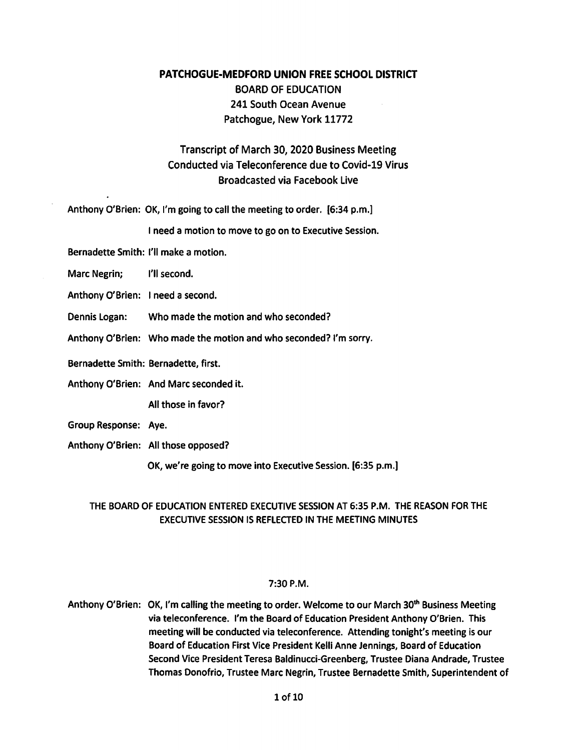## PATCHOGUE-MEDFORD UNION FREE SCHOOL DISTRICT BOARD OF EDUCATION 241 South Ocean Avenue Patchogue, New York 11772

## Transcript of March 30, 2020 Business Meeting Conducted via Teleconference due to Covid-19 Virus Broadcasted via Facebook Live

Anthony O'Brien: OK, I'm going to call the meeting to order. [6:34 p.m.]

I need a motion to move to go on to Executive Session.

Bernadette Smith: I'll make a motion.

Marc Negrin; **I'll second.** 

Anthony O'Brien: I need a second.

- Dennis Logan: Who made the motion and who seconded?
- Anthony O'Brien: Who made the motion and who seconded? I'm sorry.

Bernadette Smith: Bernadette, first.

Anthony O'Brien: And Marc seconded it.

All those in favor?

- Group Response: Aye.
- Anthony O'Brien: All those opposed?

OK, we're going to move into Executive Session. [6:35 p.m.]

## THE BOARD OF EDUCATION ENTERED EXECUTIVE SESSION AT 6:35 P.M. THE REASON FOR THE EXECUTIVE SESSION IS REFLECTED IN THE MEETING MINUTES

## 7:30P.M.

Anthony O'Brien: OK, I'm calling the meeting to order. Welcome to our March 30<sup>th</sup> Business Meeting via teleconference. I'm the Board of Education President Anthony O'Brien. This meeting will be conducted via teleconference. Attending tonight's meeting is our Board of Education First Vice President Kelli Anne Jennings, Board of Education Second Vice President Teresa Baldinucci-Greenberg, Trustee Diana Andrade, Trustee Thomas Donofrio, Trustee Marc Negrin, Trustee Bernadette Smith, Superintendent of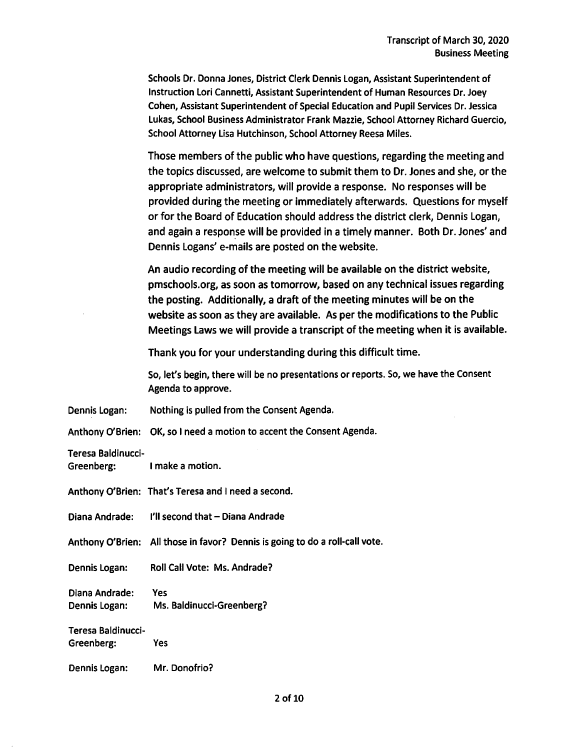Schools Dr. Donna Jones, District Clerk Dennis Logan, Assistant Superintendent of Instruction Lori Cannetti, Assistant Superintendent of Human Resources Dr. Joey Cohen, Assistant Superintendent of Special Education and Pupil Services Dr. Jessica Lukas, School Business Administrator Frank Mazzie, School Attorney Richard Guercio, School Attorney Lisa Hutchinson, School Attorney Reesa Miles.

Those members of the public who have questions, regarding the meeting and the topics discussed, are welcome to submit them to Dr. Jones and she, or the appropriate administrators, will provide a response. No responses will be provided during the meeting or immediately afterwards. Questions for myself or for the Board of Education should address the district clerk, Dennis Logan, and again a response will be provided in a timely manner. Both Dr. Jones' and Dennis Logans' e-mails are posted on the website.

An audio recording of the meeting will be available on the district website, pmschools.org, as soon as tomorrow, based on any technical issues regarding the posting. Additionally, a draft of the meeting minutes will be on the website as soon as they are available. As per the modifications to the Public Meetings Laws we will provide a transcript of the meeting when it is available.

Thank you for your understanding during this difficult time.

So, let's begin, there will be no presentations or reports. So, we have the Consent Agenda to approve.

Dennis Logan: Nothing is pulled from the Consent Agenda.

Anthony O'Brien: OK, so I need a motion to accent the Consent Agenda.

Teresa Baldinucci-

|  | Anthony O'Brien: That's Teresa and I need a second. |
|--|-----------------------------------------------------|
|--|-----------------------------------------------------|

Diana Andrade: I'll second that- Diana Andrade

Anthony O'Brien: All those in favor? Dennis is going to do a roll-call vote.

Dennis Logan: Roll Call Vote: Ms. Andrade?

Diana Andrade: Yes Dennis Logan: Ms. Baldinucci-Greenberg?

Teresa Baldinucci-

Greenberg: Yes

Dennis Logan: Mr. Donofrio?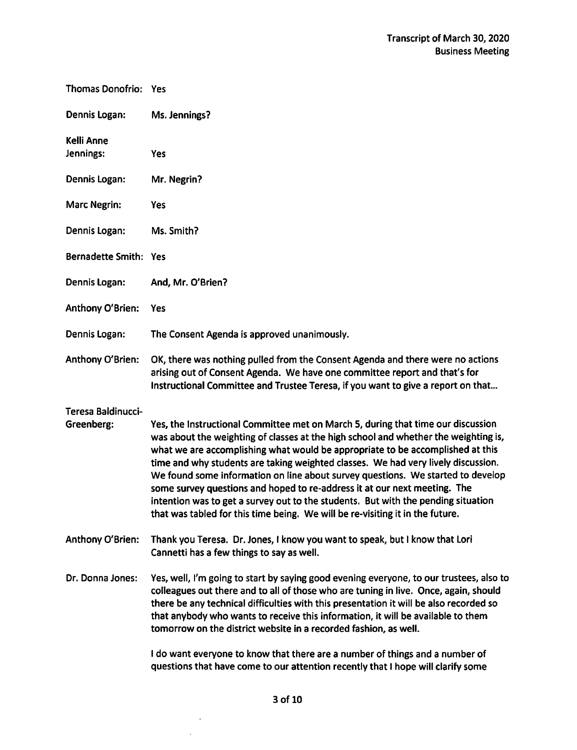| Thomas Donofrio: Yes             |                                                                                                                                                                                                                                                                                                                                                                                                                                                                                                                                                                                                                                                                                      |
|----------------------------------|--------------------------------------------------------------------------------------------------------------------------------------------------------------------------------------------------------------------------------------------------------------------------------------------------------------------------------------------------------------------------------------------------------------------------------------------------------------------------------------------------------------------------------------------------------------------------------------------------------------------------------------------------------------------------------------|
| Dennis Logan:                    | Ms. Jennings?                                                                                                                                                                                                                                                                                                                                                                                                                                                                                                                                                                                                                                                                        |
| Kelli Anne<br>Jennings:          | Yes                                                                                                                                                                                                                                                                                                                                                                                                                                                                                                                                                                                                                                                                                  |
| Dennis Logan:                    | Mr. Negrin?                                                                                                                                                                                                                                                                                                                                                                                                                                                                                                                                                                                                                                                                          |
| <b>Marc Negrin:</b>              | <b>Yes</b>                                                                                                                                                                                                                                                                                                                                                                                                                                                                                                                                                                                                                                                                           |
| Dennis Logan:                    | Ms. Smith?                                                                                                                                                                                                                                                                                                                                                                                                                                                                                                                                                                                                                                                                           |
| Bernadette Smith: Yes            |                                                                                                                                                                                                                                                                                                                                                                                                                                                                                                                                                                                                                                                                                      |
| Dennis Logan:                    | And, Mr. O'Brien?                                                                                                                                                                                                                                                                                                                                                                                                                                                                                                                                                                                                                                                                    |
| Anthony O'Brien:                 | <b>Yes</b>                                                                                                                                                                                                                                                                                                                                                                                                                                                                                                                                                                                                                                                                           |
| Dennis Logan:                    | The Consent Agenda is approved unanimously.                                                                                                                                                                                                                                                                                                                                                                                                                                                                                                                                                                                                                                          |
| Anthony O'Brien:                 | OK, there was nothing pulled from the Consent Agenda and there were no actions<br>arising out of Consent Agenda. We have one committee report and that's for<br>Instructional Committee and Trustee Teresa, if you want to give a report on that                                                                                                                                                                                                                                                                                                                                                                                                                                     |
| Teresa Baldinucci-<br>Greenberg: | Yes, the Instructional Committee met on March 5, during that time our discussion<br>was about the weighting of classes at the high school and whether the weighting is,<br>what we are accomplishing what would be appropriate to be accomplished at this<br>time and why students are taking weighted classes. We had very lively discussion.<br>We found some information on line about survey questions. We started to develop<br>some survey questions and hoped to re-address it at our next meeting. The<br>intention was to get a survey out to the students. But with the pending situation<br>that was tabled for this time being. We will be re-visiting it in the future. |
| Anthony O'Brien:                 | Thank you Teresa. Dr. Jones, I know you want to speak, but I know that Lori<br>Cannetti has a few things to say as well.                                                                                                                                                                                                                                                                                                                                                                                                                                                                                                                                                             |
| Dr. Donna Jones:                 | Yes, well, I'm going to start by saying good evening everyone, to our trustees, also to<br>colleagues out there and to all of those who are tuning in live. Once, again, should<br>there be any technical difficulties with this presentation it will be also recorded so<br>that anybody who wants to receive this information, it will be available to them<br>tomorrow on the district website in a recorded fashion, as well.                                                                                                                                                                                                                                                    |
|                                  | I do want everyone to know that there are a number of things and a number of<br>questions that have come to our attention recently that I hope will clarify some                                                                                                                                                                                                                                                                                                                                                                                                                                                                                                                     |

 $\sim 10^{11}$  $\mathcal{L}^{(1)}$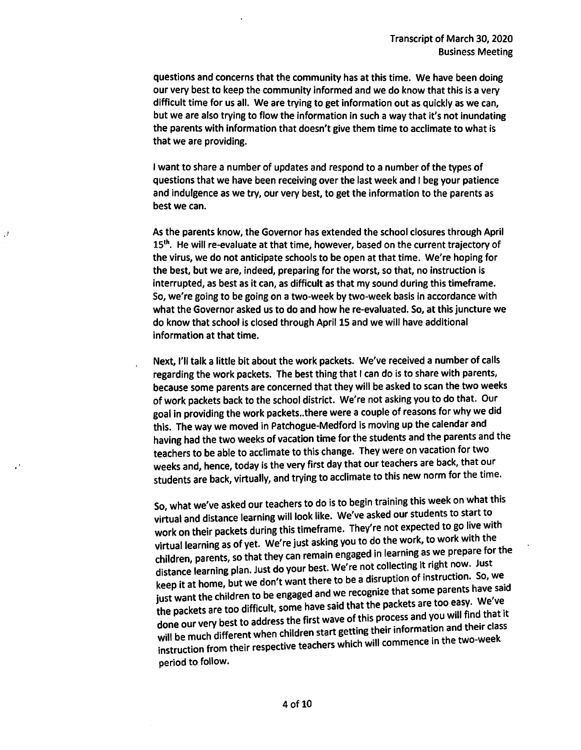questions and concerns that the community has at this time. We have been doing our very best to keep the community informed and we do know that this is a very difficult time for us all. We are trying to get information out as quickly as we can, but we are also trying to flow the information in such a way that it's not inundating the parents with information that doesn't give them time to acclimate to what is that we are providing.

I want to share a number of updates and respond to a number of the types of questions that we have been receiving over the last week and I beg your patience and indulgence as we try, our very best, to get the information to the parents as best we can.

As the parents know, the Governor has extended the school closures through April 15<sup>th</sup>. He will re-evaluate at that time, however, based on the current trajectory of the virus, we do not anticipate schools to be open at that time. We're hoping for the best, but we are, indeed, preparing for the worst, so that, no instruction is interrupted, as best as it can, as difficult as that my sound during this timeframe. So, we're going to be going on a two-week by two-week basis in accordance with what the Governor asked us to do and how he re-evaluated. So, at this juncture we do know that school is closed through April 15 and we will have additional information at that time.

Next, I'll talk a little bit about the work packets. We've received a number of calls regarding the work packets. The best thing that I can do is to share with parents, because some parents are concerned that they will be asked to scan the two weeks of work packets back to the school district. We're not asking you to do that. Our goal in providing the work packets..there were a couple of reasons for why we did this. The way we moved in Patchogue-Medford is moving up the calendar and having had the two weeks of vacation time for the students and the parents and the teachers to be able to acclimate to this change. They were on vacation for two weeks and, hence, today is the very first day that our teachers are back, that our students are back, virtually, and trying to acclimate to this new norm for the time.

So, what we've asked our teachers to do is to begin training this week on what this virtual and distance learning will look like. We've asked our students to start to work on their packets during this timeframe. They're not expected to go live with virtual learning as of yet. We're just asking you to do the work, to work with the children, parents, so that they can remain engaged in learning as we prepare for the distance learning plan. Just do your best. We're not collecting it right now. Just keep it at home, but we don't want there to be a disruption of instruction. So, we. just want the children to be engaged and we recognize that some parents have said the packets are too difficult, some have said that the packets are too easy. We've done our very best to address the first wave of this process and you will find that it will be much different when children start getting their information and their class instruction from their respective teachers which will commence in the two-week period to follow.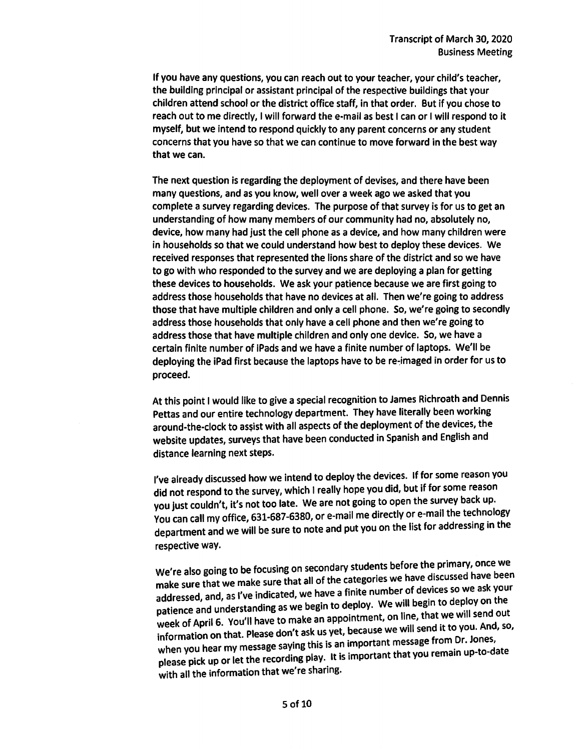If you have any questions, you can reach out to your teacher, your child's teacher, the building principal or assistant principal of the respective buildings that your children attend school or the district office staff, in that order. But if you chose to reach out to me directly, I will forward the e-mail as best I can or I will respond to it myself, but we intend to respond quickly to any parent concerns or any student concerns that you have so that we can continue to move forward in the best way that we can.

The next question is regarding the deployment of devises, and there have been many questions, and as you know, well over a week ago we asked that you complete a survey regarding devices. The purpose of that survey is for us to get an understanding of how many members of our community had no, absolutely no, device, how many had just the cell phone as a device, and how many children were in households so that we could understand how best to deploy these devices. We received responses that represented the lions share of the district and so we have to go with who responded to the survey and we are deploying a plan for getting these devices to households. We ask your patience because we are first going to address those households that have no devices at all. Then we're going to address those that have multiple children and only a cell phone. So, we're going to secondly address those households that only have a cell phone and then we're going to address those that have multiple children and only one device. So, we have a certain finite number of iPads and we have a finite number of laptops. We'll be deploying the iPad first because the laptops have to be re~imaged in order for us to proceed.

At this point 1would like to give a special recognition to James Richroath and Dennis Pettas and our entire technology department. They have literally been working around-the-clock to assist with all aspects of the deployment of the devices, the website updates, surveys that have been conducted in Spanish and English and distance learning next steps.

I've already discussed how we intend to deploy the devices. If for some reason you did not respond to the survey, which I really hope you did, but if for some reason you just couldn't, it's not too late. We are not going to open the survey back up. You can call my office, 631-687-6380, or e-mail me directly or e-mail the technology department and we will be sure to note and put you on the list for addressing in the respective way.

We're also going to be focusing on secondary students before the primary, once we make sure that we make sure that all of the categories we have discussed have been addressed, and, as I've indicated, we have a finite number of devices so we ask your patience and understanding as we begin to deploy. We will begin to deploy on the week of April 6. You'll have to make an appointment, on line, that we will send out information on that. Please don't ask us yet, because we will send it to you. And, so, when you hear my message saying this is an important message from Dr. Jones, please pick up or let the recording play. It is important that you remain up-to-date with all the information that we're sharing.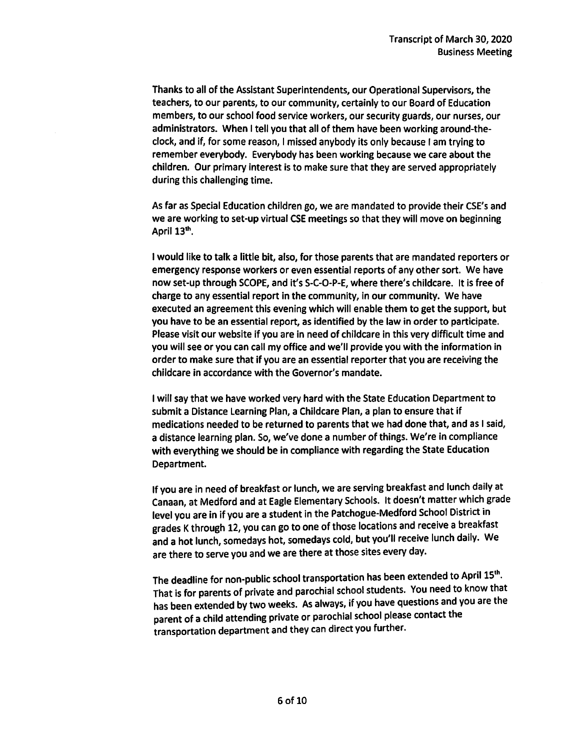Thanks to all of the Assistant Superintendents, our Operational Supervisors, the teachers, to our parents, to our community, certainly to our Board of Education members, to our school food service workers, our security guards, our nurses, our administrators. When I tell you that all of them have been working around-theclock, and if, for some reason, I missed anybody its only because I am trying to remember everybody. Everybody has been working because we care about the children. Our primary interest is to make sure that they are served appropriately during this challenging time.

As far as Special Education children go, we are mandated to provide their CSE's and we are working to set-up virtual CSE meetings so that they will move on beginning April 13<sup>th</sup>.

I would like to talk a little bit, also, for those parents that are mandated reporters or emergency response workers or even essential reports of any other sort. We have now set-up through SCOPE, and it's S-C-0-P-E, where there's childcare. It is free of charge to any essential report in the community, in our community. We have executed an agreement this evening which will enable them to get the support, but you have to be an essential report, as identified by the law in order to participate. Please visit our website if you are in need of childcare in this very difficult time and you will see or you can call my office and we'll provide you with the information in order to make sure that if you are an essential reporter that you are receiving the childcare in accordance with the Governor's mandate.

I will say that we have worked very hard with the State Education Department to submit a Distance Learning Plan, a Childcare Plan, a plan to ensure that if medications needed to be returned to parents that we had done that, and as I said, a distance learning plan. So, we've done a number of things. We're in compliance with everything we should be in compliance with regarding the State Education Department.

If you are in need of breakfast or lunch, we are serving breakfast and lunch daily at Canaan, at Medford and at Eagle Elementary Schools. It doesn't matter which grade level you are in if you are a student in the Patchogue-Medford School District in grades K through 12, you can go to one of those locations and receive a breakfast and a hot lunch, somedays hot, somedays cold, but you'll receive lunch dally. We are there to serve you and we are there at those sites every day.

The deadline for non-public school transportation has been extended to April 15th. That is for parents of private and parochial school students. You need to know that has been extended by two weeks. As always, if you have questions and you are the parent of a child attending private or parochial school please contact the transportation department and they can direct you further.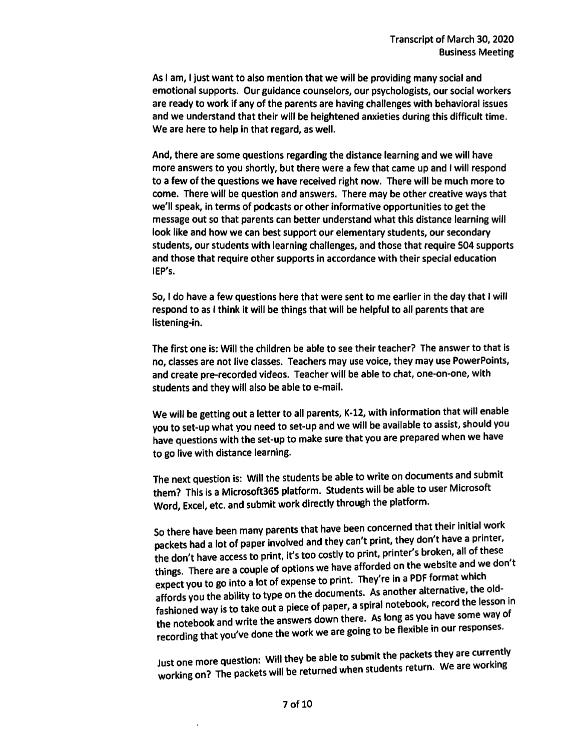As I am, I just want to also mention that we will be providing many social and emotional supports. Our guidance counselors, our psychologists, our social workers are ready to work if any of the parents are having challenges with behavioral issues and we understand that their will be heightened anxieties during this difficult time. We are here to help in that regard, as well.

And, there are some questions regarding the distance learning and we will have more answers to you shortly, but there were a few that came up and I will respond to a few of the questions we have received right now. There will be much more to come. There will be question and answers. There may be other creative ways that we'll speak, in terms of podcasts or other informative opportunities to get the message out so that parents can better understand what this distance learning will look like and how we can best support our elementary students, our secondary students, our students with learning challenges, and those that require 504 supports and those that require other supports in accordance with their special education IEP's.

So, I do have a few questions here that were sent to me earlier in the day that I will respond to as I think it will be things that will be helpful to all parents that are listening-in.

The first one is: Will the children be able to see their teacher? The answer to that is no, classes are not live classes. Teachers may use voice, they may use PowerPoints, and create pre-recorded videos. Teacher will be able to chat, one-on-one, with students and they will also be able to e-mail.

We will be getting out a letter to all parents, K-12, with information that will enable you to set-up what you need to set-up and we will be available to assist, should you have questions with the set-up to make sure that you are prepared when we have to go live with distance learning.

The next question is: Will the students be able to write on documents and submit them? This is a Microsoft365 platform. Students will be able to user Microsoft Word, Excel, etc. and submit work directly through the platform.

so there have been many parents that have been concerned that their initial work packets had a lot of paper involved and they can't print, they don't have a printer, the don't have access to print, it's too costly to print, printer's broken, all of these things. There are a couple of options we have afforded on the website and we don't expect you to go into a lot of expense to print. They're in a PDF format which affords you the ability to type on the documents. As another alternative, the old- . fashioned way is to take out a piece of paper, a spiral notebook, record the lesson in the notebook and write the answers down there. As long as you have some way of recording that you've done the work we are going to be flexible in our responses.

Just one more question: Will they be able to submit the packets they are currently working on? The packets will be returned when students return. We are working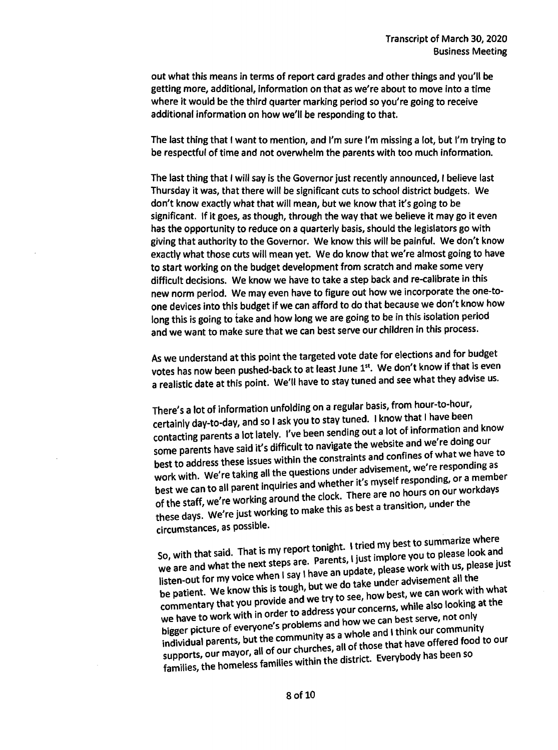out what this means in terms of report card grades and other things and you'll be getting more, additional, information on that as we're about to move into a time where it would be the third quarter marking period so you're going to receive additional information on how we'll be responding to that.

The last thing that I want to mention, and I'm sure I'm missing a lot, but I'm trying to be respectful of time and not overwhelm the parents with too much information.

The last thing that I will say is the Governor just recently announced, I believe last Thursday it was, that there will be significant cuts to school district budgets. We don't know exactly what that will mean, but we know that it's going to be significant. If it goes, as though, through the way that we believe it may go it even has the opportunity to reduce on a quarterly basis, should the legislators go with giving that authority to the Governor. We know this will be painful. We don't know exactly what those cuts will mean yet. We do know that we're almost going to have to start working on the budget development from scratch and make some very difficult decisions. We know we have to take a step back and re-calibrate in this new norm period. We may even have to figure out how we incorporate the one-toone devices into this budget If we can afford to do that because we don't know how long this is going to take and how long we are going to be in this isolation period and we want to make sure that we can best serve our children in this process.

As we understand at this point the targeted vote date for elections and for budget votes has now been pushed-back to at least June 1st. We don't know if that is even a realistic date at this point. We'll have to stay tuned and see what they advise us.

There's a lot of information unfolding on a regular basis, from hour-to-hour, certainly day-to-day, and so I ask you to stay tuned. I know that I have been contacting parents a lot lately. I've been sending out a lot of information and know some parents have said it's difficult to navigate the website and we're doing our best to address these issues within the constraints and confines of what we have to work with. We're taking all the questions under advisement, we're responding as best we can to all parent inquiries and whether it's myself responding, or a member of the staff, we're working around the clock. There are no hours on our workdays these days. We're just working to make this as best a transition, under the circumstances, as possible.

So, with that said. That is my report tonight. I tried my best to summarize where we are and what the next steps are. Parents, I just implore you to please look and listen-out for my voice when I say I have an update, please work with us, please just<br>be patient. We know this is tough, but we do take under advisement all the be patient. We know this is tough, but we use though best, we can work with what be patient. The straight vide and we try to see, now best, we can well. The commentary that you provide and we try to see, now best, we can well as looking at the we have to work with in order to address your concerns, while also looking at the<br>bigger picture of everyone's problems and how we can best serve, not only individual parents, but the community as a whole and I think our community individual parents, but the community  $\frac{1}{2}$  as all as those that have offered food to our or, all of our churches, all of supports, our mayor,  $em_{\text{m}}$  and  $em_{\text{lib}}$  within the district. Everybody has been so families, the homeless families within the district. Everybody has been so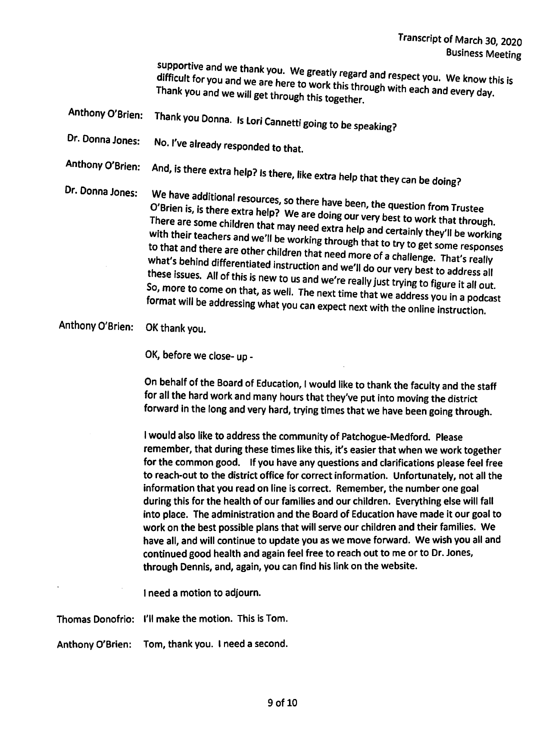supportive and we thank you. We greatly regard and respect you. We know this is difficult for you and we are here to work this through with each and every day. Thank you and we will get through this together.

Anthony O'Brien: Thank you Donna. Is Lori Cannetti going to be speaking?

Dr. Donna Jones: No. I've already responded to that.

Anthony O'Brien: And, is there extra help? Is there, like extra help that they can be doing?

Dr. Donna Jones: We have additional resources, so there have been, the question from Trustee O'Brien is, is there extra help? We are doing our very best to work that through. There are some children that may need extra help and certainly they'll be working with their teachers and we'll be working through that to try to get some responses to that and there are other children that need more of a challenge. *That's* really what's behind differentiated instruction and we'll do our very best to address all these issues. All of this is new to us and we're really just trying to figure it all out. So, more to come on that, as well. The next time that we address you in a podcast format will be addressing what you can expect next with the online instruction.

Anthony O'Brien: OK thank you.

OK, before we close- up

On behalf of the Board of Education, I would like to thank the faculty and the staff for all the hard work and many hours that they've put into moving the district forward in the long and very hard, trying times that we have been going through.

I would also like to address the community of Patchogue-Medford. Please remember, that during these times like this, it's easier that when we work together for the common good. If you have any questions and clarifications please feel free for the common good. If  $\eta$  which is good. If  $\eta$  and  $\eta$  and  $\eta$  and  $\eta$  and  $\eta$  and  $\eta$  and  $\eta$  and  $\eta$  and  $\eta$  and  $\eta$  and  $\eta$  and  $\eta$  and  $\eta$  and  $\eta$  and  $\eta$  and  $\eta$  and  $\eta$  and  $\eta$  and  $\eta$  and  $\eta$ to reach-out to the district office for correct milomitation. Only curately, not a information that you read on line is correct. Remember, the number one goal<br>during this for the health of our families and our children. Everything else will fall into place. The administration and the Board of Education have made it our goal to into place. The admlmstratlon an t e. r children and their families. We work on the best possible plans that will serve our children and their families. We have all, and will continue to update you as we move forward. We wish you all and continued good health and again feel free to reach out to me or to Dr. Jones, through Dennis, and, again, you can find his link on the website.

1need a motion to adjourn.

Thomas Donofrio: I'll make the motion. This is Tom.

Anthony O'Brien: Tom, thank you. 1need a second.